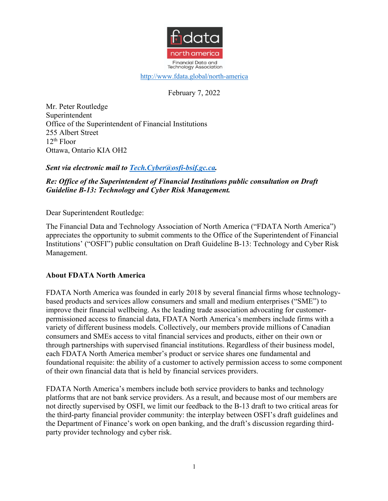

http://www.fdata.global/north-america

February 7, 2022

Mr. Peter Routledge Superintendent Office of the Superintendent of Financial Institutions 255 Albert Street  $12<sup>th</sup>$  Floor Ottawa, Ontario KIA OH2

## *Sent via electronic mail to Tech.Cyber@osfi-bsif.gc.ca.*

### *Re: Office of the Superintendent of Financial Institutions public consultation on Draft Guideline B-13: Technology and Cyber Risk Management.*

Dear Superintendent Routledge:

The Financial Data and Technology Association of North America ("FDATA North America") appreciates the opportunity to submit comments to the Office of the Superintendent of Financial Institutions' ("OSFI") public consultation on Draft Guideline B-13: Technology and Cyber Risk Management.

### **About FDATA North America**

FDATA North America was founded in early 2018 by several financial firms whose technologybased products and services allow consumers and small and medium enterprises ("SME") to improve their financial wellbeing. As the leading trade association advocating for customerpermissioned access to financial data, FDATA North America's members include firms with a variety of different business models. Collectively, our members provide millions of Canadian consumers and SMEs access to vital financial services and products, either on their own or through partnerships with supervised financial institutions. Regardless of their business model, each FDATA North America member's product or service shares one fundamental and foundational requisite: the ability of a customer to actively permission access to some component of their own financial data that is held by financial services providers.

FDATA North America's members include both service providers to banks and technology platforms that are not bank service providers. As a result, and because most of our members are not directly supervised by OSFI, we limit our feedback to the B-13 draft to two critical areas for the third-party financial provider community: the interplay between OSFI's draft guidelines and the Department of Finance's work on open banking, and the draft's discussion regarding thirdparty provider technology and cyber risk.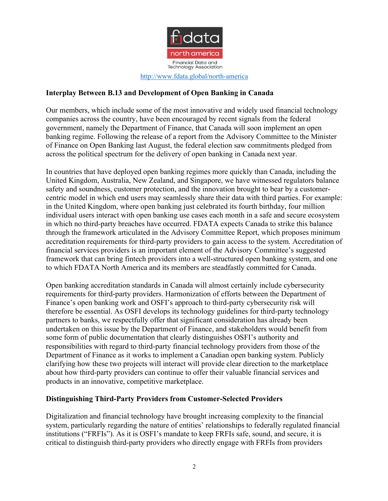

# **Interplay Between B.13 and Development of Open Banking in Canada**

Our members, which include some of the most innovative and widely used financial technology companies across the country, have been encouraged by recent signals from the federal government, namely the Department of Finance, that Canada will soon implement an open banking regime. Following the release of a report from the Advisory Committee to the Minister of Finance on Open Banking last August, the federal election saw commitments pledged from across the political spectrum for the delivery of open banking in Canada next year.

In countries that have deployed open banking regimes more quickly than Canada, including the United Kingdom, Australia, New Zealand, and Singapore, we have witnessed regulators balance safety and soundness, customer protection, and the innovation brought to bear by a customercentric model in which end users may seamlessly share their data with third parties. For example: in the United Kingdom, where open banking just celebrated its fourth birthday, four million individual users interact with open banking use cases each month in a safe and secure ecosystem in which no third-party breaches have occurred. FDATA expects Canada to strike this balance through the framework articulated in the Advisory Committee Report, which proposes minimum accreditation requirements for third-party providers to gain access to the system. Accreditation of financial services providers is an important element of the Advisory Committee's suggested framework that can bring fintech providers into a well-structured open banking system, and one to which FDATA North America and its members are steadfastly committed for Canada.

Open banking accreditation standards in Canada will almost certainly include cybersecurity requirements for third-party providers. Harmonization of efforts between the Department of Finance's open banking work and OSFI's approach to third-party cybersecurity risk will therefore be essential. As OSFI develops its technology guidelines for third-party technology partners to banks, we respectfully offer that significant consideration has already been undertaken on this issue by the Department of Finance, and stakeholders would benefit from some form of public documentation that clearly distinguishes OSFI's authority and responsibilities with regard to third-party financial technology providers from those of the Department of Finance as it works to implement a Canadian open banking system. Publicly clarifying how these two projects will interact will provide clear direction to the marketplace about how third-party providers can continue to offer their valuable financial services and products in an innovative, competitive marketplace.

### **Distinguishing Third-Party Providers from Customer-Selected Providers**

Digitalization and financial technology have brought increasing complexity to the financial system, particularly regarding the nature of entities' relationships to federally regulated financial institutions ("FRFIs"). As it is OSFI's mandate to keep FRFIs safe, sound, and secure, it is critical to distinguish third-party providers who directly engage with FRFIs from providers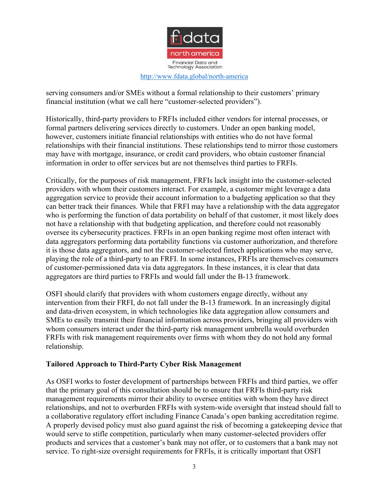

#### http://www.fdata.global/north-america

serving consumers and/or SMEs without a formal relationship to their customers' primary financial institution (what we call here "customer-selected providers").

Historically, third-party providers to FRFIs included either vendors for internal processes, or formal partners delivering services directly to customers. Under an open banking model, however, customers initiate financial relationships with entities who do not have formal relationships with their financial institutions. These relationships tend to mirror those customers may have with mortgage, insurance, or credit card providers, who obtain customer financial information in order to offer services but are not themselves third parties to FRFIs.

Critically, for the purposes of risk management, FRFIs lack insight into the customer-selected providers with whom their customers interact. For example, a customer might leverage a data aggregation service to provide their account information to a budgeting application so that they can better track their finances. While that FRFI may have a relationship with the data aggregator who is performing the function of data portability on behalf of that customer, it most likely does not have a relationship with that budgeting application, and therefore could not reasonably oversee its cybersecurity practices. FRFIs in an open banking regime most often interact with data aggregators performing data portability functions via customer authorization, and therefore it is those data aggregators, and not the customer-selected fintech applications who may serve, playing the role of a third-party to an FRFI. In some instances, FRFIs are themselves consumers of customer-permissioned data via data aggregators. In these instances, it is clear that data aggregators are third parties to FRFIs and would fall under the B-13 framework.

OSFI should clarify that providers with whom customers engage directly, without any intervention from their FRFI, do not fall under the B-13 framework. In an increasingly digital and data-driven ecosystem, in which technologies like data aggregation allow consumers and SMEs to easily transmit their financial information across providers, bringing all providers with whom consumers interact under the third-party risk management umbrella would overburden FRFIs with risk management requirements over firms with whom they do not hold any formal relationship.

## **Tailored Approach to Third-Party Cyber Risk Management**

As OSFI works to foster development of partnerships between FRFIs and third parties, we offer that the primary goal of this consultation should be to ensure that FRFIs third-party risk management requirements mirror their ability to oversee entities with whom they have direct relationships, and not to overburden FRFIs with system-wide oversight that instead should fall to a collaborative regulatory effort including Finance Canada's open banking accreditation regime. A properly devised policy must also guard against the risk of becoming a gatekeeping device that would serve to stifle competition, particularly when many customer-selected providers offer products and services that a customer's bank may not offer, or to customers that a bank may not service. To right-size oversight requirements for FRFIs, it is critically important that OSFI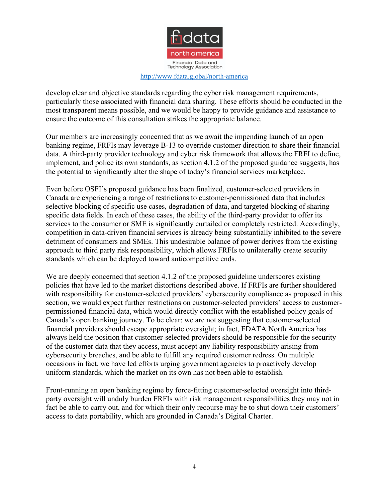

#### http://www.fdata.global/north-america

develop clear and objective standards regarding the cyber risk management requirements, particularly those associated with financial data sharing. These efforts should be conducted in the most transparent means possible, and we would be happy to provide guidance and assistance to ensure the outcome of this consultation strikes the appropriate balance.

Our members are increasingly concerned that as we await the impending launch of an open banking regime, FRFIs may leverage B-13 to override customer direction to share their financial data. A third-party provider technology and cyber risk framework that allows the FRFI to define, implement, and police its own standards, as section 4.1.2 of the proposed guidance suggests, has the potential to significantly alter the shape of today's financial services marketplace.

Even before OSFI's proposed guidance has been finalized, customer-selected providers in Canada are experiencing a range of restrictions to customer-permissioned data that includes selective blocking of specific use cases, degradation of data, and targeted blocking of sharing specific data fields. In each of these cases, the ability of the third-party provider to offer its services to the consumer or SME is significantly curtailed or completely restricted. Accordingly, competition in data-driven financial services is already being substantially inhibited to the severe detriment of consumers and SMEs. This undesirable balance of power derives from the existing approach to third party risk responsibility, which allows FRFIs to unilaterally create security standards which can be deployed toward anticompetitive ends.

We are deeply concerned that section 4.1.2 of the proposed guideline underscores existing policies that have led to the market distortions described above. If FRFIs are further shouldered with responsibility for customer-selected providers' cybersecurity compliance as proposed in this section, we would expect further restrictions on customer-selected providers' access to customerpermissioned financial data, which would directly conflict with the established policy goals of Canada's open banking journey. To be clear: we are not suggesting that customer-selected financial providers should escape appropriate oversight; in fact, FDATA North America has always held the position that customer-selected providers should be responsible for the security of the customer data that they access, must accept any liability responsibility arising from cybersecurity breaches, and be able to fulfill any required customer redress. On multiple occasions in fact, we have led efforts urging government agencies to proactively develop uniform standards, which the market on its own has not been able to establish.

Front-running an open banking regime by force-fitting customer-selected oversight into thirdparty oversight will unduly burden FRFIs with risk management responsibilities they may not in fact be able to carry out, and for which their only recourse may be to shut down their customers' access to data portability, which are grounded in Canada's Digital Charter.